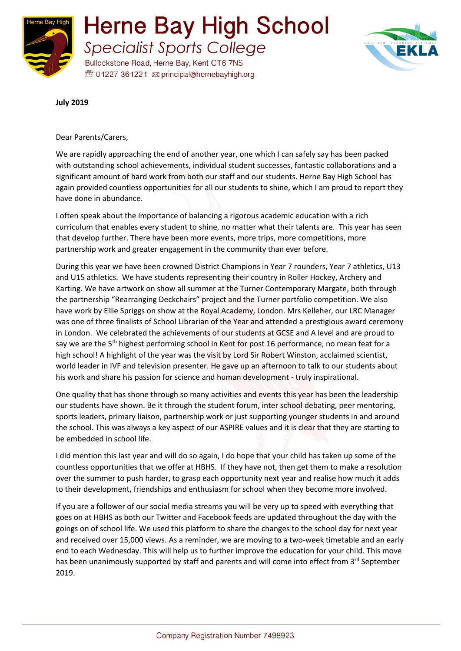



**July 2019**

Dear Parents/Carers,

We are rapidly approaching the end of another year, one which I can safely say has been packed with outstanding school achievements, individual student successes, fantastic collaborations and a significant amount of hard work from both our staff and our students. Herne Bay High School has again provided countless opportunities for all our students to shine, which I am proud to report they have done in abundance.

I often speak about the importance of balancing a rigorous academic education with a rich curriculum that enables every student to shine, no matter what their talents are. This year has seen that develop further. There have been more events, more trips, more competitions, more partnership work and greater engagement in the community than ever before.

During this year we have been crowned District Champions in Year 7 rounders, Year 7 athletics, U13 and U15 athletics. We have students representing their country in Roller Hockey, Archery and Karting. We have artwork on show all summer at the Turner Contemporary Margate, both through the partnership "Rearranging Deckchairs" project and the Turner portfolio competition. We also have work by Ellie Spriggs on show at the Royal Academy, London. Mrs Kelleher, our LRC Manager was one of three finalists of School Librarian of the Year and attended a prestigious award ceremony in London. We celebrated the achievements of our students at GCSE and A level and are proud to say we are the 5<sup>th</sup> highest performing school in Kent for post 16 performance, no mean feat for a high school! A highlight of the year was the visit by Lord Sir Robert Winston, acclaimed scientist, world leader in IVF and television presenter. He gave up an afternoon to talk to our students about his work and share his passion for science and human development - truly inspirational.

One quality that has shone through so many activities and events this year has been the leadership our students have shown. Be it through the student forum, inter school debating, peer mentoring, sports leaders, primary liaison, partnership work or just supporting younger students in and around the school. This was always a key aspect of our ASPIRE values and it is clear that they are starting to be embedded in school life.

I did mention this last year and will do so again, I do hope that your child has taken up some of the countless opportunities that we offer at HBHS. If they have not, then get them to make a resolution over the summer to push harder, to grasp each opportunity next year and realise how much it adds to their development, friendships and enthusiasm for school when they become more involved.

If you are a follower of our social media streams you will be very up to speed with everything that goes on at HBHS as both our Twitter and Facebook feeds are updated throughout the day with the goings on of school life. We used this platform to share the changes to the school day for next year and received over 15,000 views. As a reminder, we are moving to a two-week timetable and an early end to each Wednesday. This will help us to further improve the education for your child. This move has been unanimously supported by staff and parents and will come into effect from 3<sup>rd</sup> September 2019.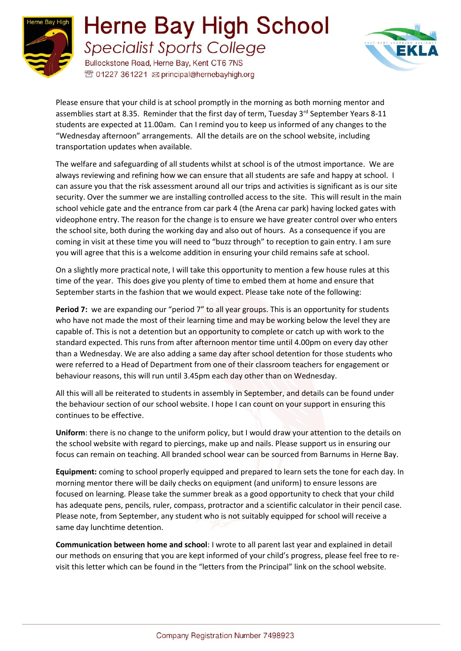

## **Herne Bay High School Specialist Sports College**

Bullockstone Road, Herne Bay, Kent CT6 7NS <sup>®</sup> 01227 361221 <br> principal@hernebayhigh.org



Please ensure that your child is at school promptly in the morning as both morning mentor and assemblies start at 8.35. Reminder that the first day of term, Tuesday 3rd September Years 8-11 students are expected at 11.00am. Can I remind you to keep us informed of any changes to the "Wednesday afternoon" arrangements. All the details are on the school website, including transportation updates when available.

The welfare and safeguarding of all students whilst at school is of the utmost importance. We are always reviewing and refining how we can ensure that all students are safe and happy at school. I can assure you that the risk assessment around all our trips and activities is significant as is our site security. Over the summer we are installing controlled access to the site. This will result in the main school vehicle gate and the entrance from car park 4 (the Arena car park) having locked gates with videophone entry. The reason for the change is to ensure we have greater control over who enters the school site, both during the working day and also out of hours. As a consequence if you are coming in visit at these time you will need to "buzz through" to reception to gain entry. I am sure you will agree that this is a welcome addition in ensuring your child remains safe at school.

On a slightly more practical note, I will take this opportunity to mention a few house rules at this time of the year. This does give you plenty of time to embed them at home and ensure that September starts in the fashion that we would expect. Please take note of the following:

**Period 7:** we are expanding our "period 7" to all year groups. This is an opportunity for students who have not made the most of their learning time and may be working below the level they are capable of. This is not a detention but an opportunity to complete or catch up with work to the standard expected. This runs from after afternoon mentor time until 4.00pm on every day other than a Wednesday. We are also adding a same day after school detention for those students who were referred to a Head of Department from one of their classroom teachers for engagement or behaviour reasons, this will run until 3.45pm each day other than on Wednesday.

All this will all be reiterated to students in assembly in September, and details can be found under the behaviour section of our school website. I hope I can count on your support in ensuring this continues to be effective.

**Uniform**: there is no change to the uniform policy, but I would draw your attention to the details on the school website with regard to piercings, make up and nails. Please support us in ensuring our focus can remain on teaching. All branded school wear can be sourced from Barnums in Herne Bay.

**Equipment:** coming to school properly equipped and prepared to learn sets the tone for each day. In morning mentor there will be daily checks on equipment (and uniform) to ensure lessons are focused on learning. Please take the summer break as a good opportunity to check that your child has adequate pens, pencils, ruler, compass, protractor and a scientific calculator in their pencil case. Please note, from September, any student who is not suitably equipped for school will receive a same day lunchtime detention.

**Communication between home and school**: I wrote to all parent last year and explained in detail our methods on ensuring that you are kept informed of your child's progress, please feel free to revisit this letter which can be found in the "letters from the Principal" link on the school website.